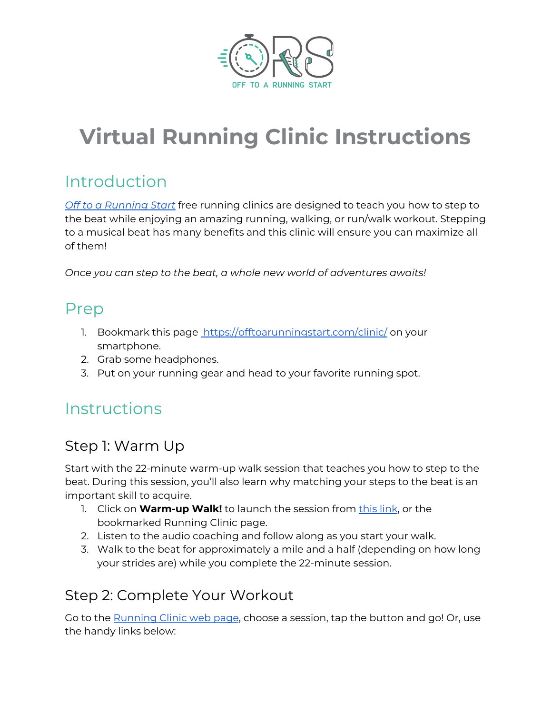

# **Virtual Running Clinic Instructions**

## Introduction

*Off to a [Running](https://offtoarunningstart.com/group-runs-clinics/) Start* free running clinics are designed to teach you how to step to the beat while enjoying an amazing running, walking, or run/walk workout. Stepping to a musical beat has many benefits and this clinic will ensure you can maximize all of them!

*Once you can step to the beat, a whole new world of adventures awaits!*

#### Prep

- 1. Bookmark this page <https://offtoarunningstart.com/clinic/> on your smartphone.
- 2. Grab some headphones.
- 3. Put on your running gear and head to your favorite running spot.

### **Instructions**

#### Step 1: Warm Up

Start with the 22-minute warm-up walk session that teaches you how to step to the beat. During this session, you'll also learn why matching your steps to the beat is an important skill to acquire.

- 1. Click on **Warm-up Walk!** to launch the session from [this](https://offtoarunningstart.com/wp-content/uploads/2019/01/22-min-Walking-Cadence-Tutorial.mp3) link, or the bookmarked Running Clinic page.
- 2. Listen to the audio coaching and follow along as you start your walk.
- 3. Walk to the beat for approximately a mile and a half (depending on how long your strides are) while you complete the 22-minute session.

#### Step 2: Complete Your Workout

Go to the **[Running](https://offtoarunningstart.com/clinic/) Clinic web page**, choose a session, tap the button and go! Or, use the handy links below: